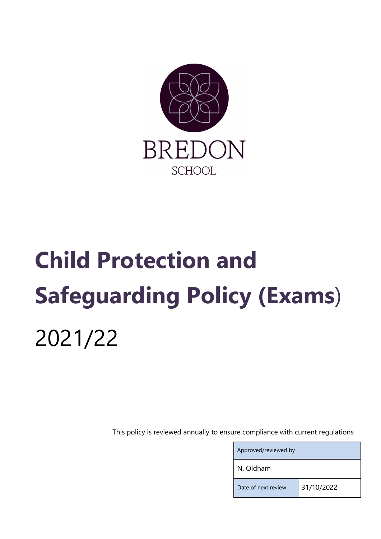

# Child Protection and Safeguarding Policy (Exams) 2021/22

This policy is reviewed annually to ensure compliance with current regulations

| Approved/reviewed by |            |  |
|----------------------|------------|--|
| N. Oldham            |            |  |
| Date of next review  | 31/10/2022 |  |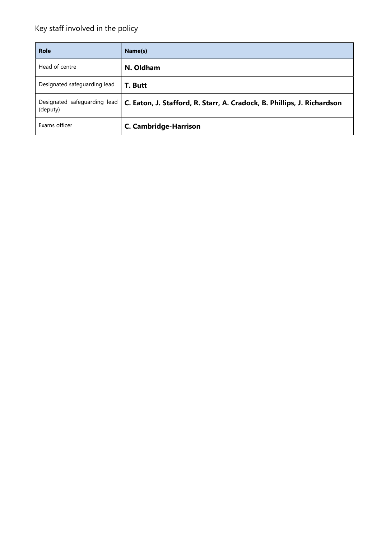# Key staff involved in the policy

| <b>Role</b>                              | Name(s)                                                                 |
|------------------------------------------|-------------------------------------------------------------------------|
| Head of centre                           | N. Oldham                                                               |
| Designated safeguarding lead             | T. Butt                                                                 |
| Designated safeguarding lead<br>(deputy) | C. Eaton, J. Stafford, R. Starr, A. Cradock, B. Phillips, J. Richardson |
| Exams officer                            | <b>C. Cambridge-Harrison</b>                                            |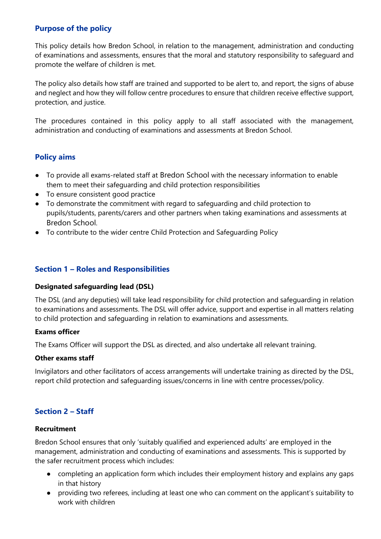# Purpose of the policy

This policy details how Bredon School, in relation to the management, administration and conducting of examinations and assessments, ensures that the moral and statutory responsibility to safeguard and promote the welfare of children is met.

The policy also details how staff are trained and supported to be alert to, and report, the signs of abuse and neglect and how they will follow centre procedures to ensure that children receive effective support, protection, and justice.

The procedures contained in this policy apply to all staff associated with the management, administration and conducting of examinations and assessments at Bredon School.

# Policy aims

- To provide all exams-related staff at Bredon School with the necessary information to enable them to meet their safeguarding and child protection responsibilities
- To ensure consistent good practice
- To demonstrate the commitment with regard to safeguarding and child protection to pupils/students, parents/carers and other partners when taking examinations and assessments at Bredon School.
- To contribute to the wider centre Child Protection and Safeguarding Policy

### Section 1 – Roles and Responsibilities

#### Designated safeguarding lead (DSL)

The DSL (and any deputies) will take lead responsibility for child protection and safeguarding in relation to examinations and assessments. The DSL will offer advice, support and expertise in all matters relating to child protection and safeguarding in relation to examinations and assessments.

#### Exams officer

The Exams Officer will support the DSL as directed, and also undertake all relevant training.

#### Other exams staff

Invigilators and other facilitators of access arrangements will undertake training as directed by the DSL, report child protection and safeguarding issues/concerns in line with centre processes/policy.

# Section 2 – Staff

#### Recruitment

Bredon School ensures that only 'suitably qualified and experienced adults' are employed in the management, administration and conducting of examinations and assessments. This is supported by the safer recruitment process which includes:

- completing an application form which includes their employment history and explains any gaps in that history
- providing two referees, including at least one who can comment on the applicant's suitability to work with children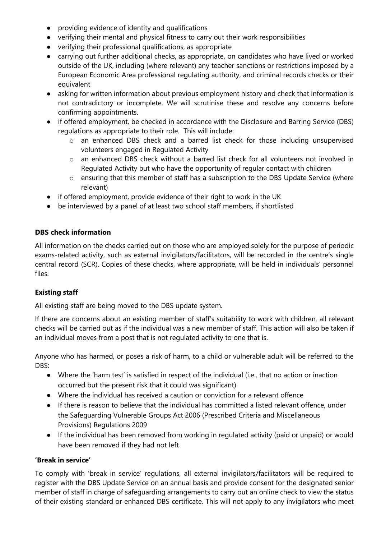- providing evidence of identity and qualifications
- verifying their mental and physical fitness to carry out their work responsibilities
- verifying their professional qualifications, as appropriate
- carrying out further additional checks, as appropriate, on candidates who have lived or worked outside of the UK, including (where relevant) any teacher sanctions or restrictions imposed by a European Economic Area professional regulating authority, and criminal records checks or their equivalent
- asking for written information about previous employment history and check that information is not contradictory or incomplete. We will scrutinise these and resolve any concerns before confirming appointments.
- if offered employment, be checked in accordance with the Disclosure and Barring Service (DBS) regulations as appropriate to their role. This will include:
	- o an enhanced DBS check and a barred list check for those including unsupervised volunteers engaged in Regulated Activity
	- o an enhanced DBS check without a barred list check for all volunteers not involved in Regulated Activity but who have the opportunity of regular contact with children
	- o ensuring that this member of staff has a subscription to the DBS Update Service (where relevant)
- if offered employment, provide evidence of their right to work in the UK
- be interviewed by a panel of at least two school staff members, if shortlisted

#### DBS check information

All information on the checks carried out on those who are employed solely for the purpose of periodic exams-related activity, such as external invigilators/facilitators, will be recorded in the centre's single central record (SCR). Copies of these checks, where appropriate, will be held in individuals' personnel files.

#### Existing staff

All existing staff are being moved to the DBS update system.

If there are concerns about an existing member of staff's suitability to work with children, all relevant checks will be carried out as if the individual was a new member of staff. This action will also be taken if an individual moves from a post that is not regulated activity to one that is.

Anyone who has harmed, or poses a risk of harm, to a child or vulnerable adult will be referred to the DBS:

- Where the 'harm test' is satisfied in respect of the individual (i.e., that no action or inaction occurred but the present risk that it could was significant)
- Where the individual has received a caution or conviction for a relevant offence
- If there is reason to believe that the individual has committed a listed relevant offence, under the Safeguarding Vulnerable Groups Act 2006 (Prescribed Criteria and Miscellaneous Provisions) Regulations 2009
- If the individual has been removed from working in regulated activity (paid or unpaid) or would have been removed if they had not left

#### 'Break in service'

To comply with 'break in service' regulations, all external invigilators/facilitators will be required to register with the DBS Update Service on an annual basis and provide consent for the designated senior member of staff in charge of safeguarding arrangements to carry out an online check to view the status of their existing standard or enhanced DBS certificate. This will not apply to any invigilators who meet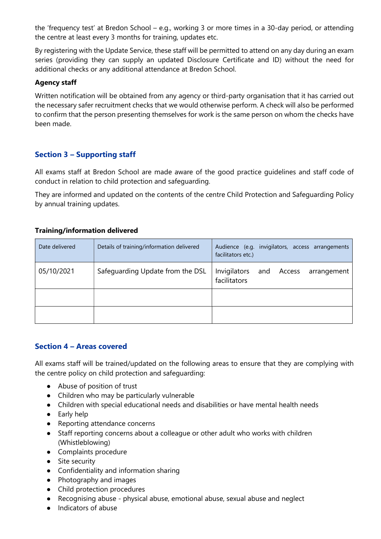the 'frequency test' at Bredon School – e.g., working 3 or more times in a 30-day period, or attending the centre at least every 3 months for training, updates etc.

By registering with the Update Service, these staff will be permitted to attend on any day during an exam series (providing they can supply an updated Disclosure Certificate and ID) without the need for additional checks or any additional attendance at Bredon School.

#### Agency staff

Written notification will be obtained from any agency or third-party organisation that it has carried out the necessary safer recruitment checks that we would otherwise perform. A check will also be performed to confirm that the person presenting themselves for work is the same person on whom the checks have been made.

# Section 3 – Supporting staff

All exams staff at Bredon School are made aware of the good practice guidelines and staff code of conduct in relation to child protection and safeguarding.

They are informed and updated on the contents of the centre Child Protection and Safeguarding Policy by annual training updates.

#### Training/information delivered

| Date delivered | Details of training/information delivered | Audience (e.g. invigilators, access arrangements<br>facilitators etc.) |
|----------------|-------------------------------------------|------------------------------------------------------------------------|
| 05/10/2021     | Safequarding Update from the DSL          | Invigilators<br>and Access<br>arrangement<br>facilitators              |
|                |                                           |                                                                        |
|                |                                           |                                                                        |

# Section 4 – Areas covered

All exams staff will be trained/updated on the following areas to ensure that they are complying with the centre policy on child protection and safeguarding:

- Abuse of position of trust
- Children who may be particularly vulnerable
- Children with special educational needs and disabilities or have mental health needs
- Early help
- Reporting attendance concerns
- Staff reporting concerns about a colleague or other adult who works with children (Whistleblowing)
- Complaints procedure
- Site security
- Confidentiality and information sharing
- Photography and images
- Child protection procedures
- Recognising abuse physical abuse, emotional abuse, sexual abuse and neglect
- Indicators of abuse